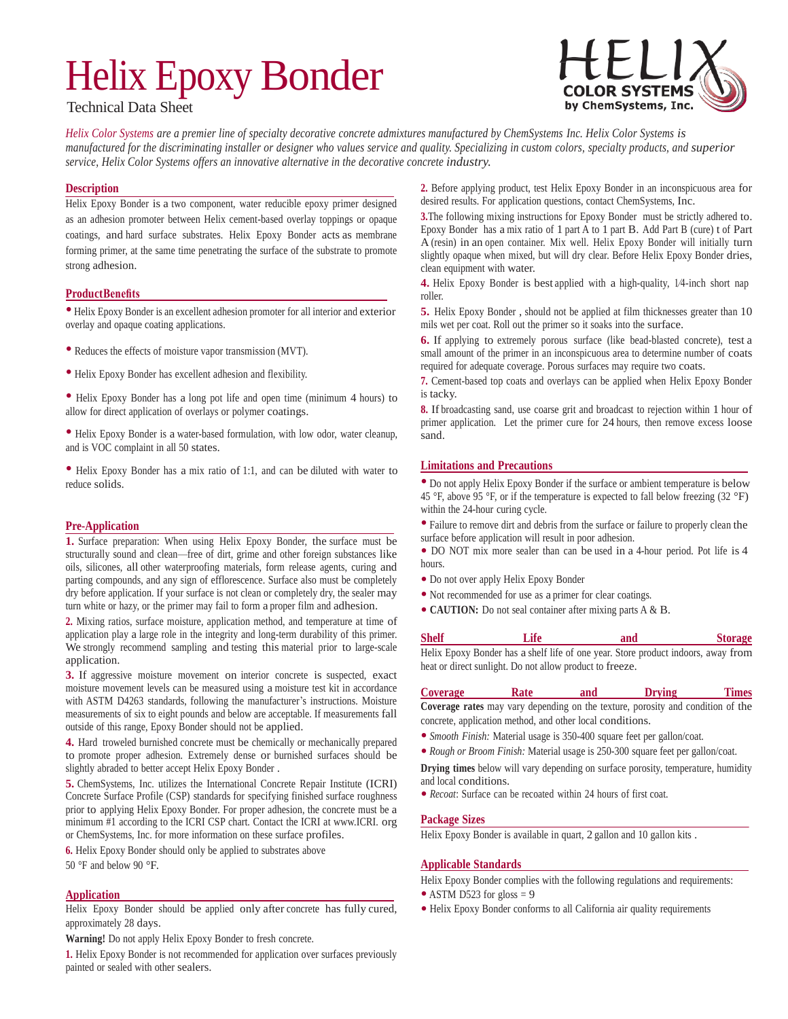# Helix Epoxy Bonder



# Technical Data Sheet

Helix Color Systems are a premier line of specialty decorative concrete admixtures manufactured by ChemSystems Inc. Helix Color Systems is manufactured for the discriminating installer or designer who values service and quality. Specializing in custom colors, specialty products, and superior *service, Helix Color Systems offers an innovative alternative in the decorative concrete industry.*

### **Description**

Helix Epoxy Bonder is a two component, water reducible epoxy primer designed as an adhesion promoter between Helix cement-based overlay toppings or opaque coatings, and hard surface substrates. Helix Epoxy Bonder acts as membrane forming primer, at the same time penetrating the surface of the substrate to promote strong adhesion.

# **ProductBenefits**

• Helix Epoxy Bonder is an excellent adhesion promoter for all interior and exterior overlay and opaque coating applications.

- Reduces the effects of moisture vapor transmission (MVT).
- Helix Epoxy Bonder has excellent adhesion and flexibility.

• Helix Epoxy Bonder has <sup>a</sup> long pot life and open time (minimum <sup>4</sup> hours) to allow for direct application of overlays or polymer coatings.

• Helix Epoxy Bonder is <sup>a</sup> water-based formulation, with low odor, water cleanup, and is VOC complaint in all 50 states.

• Helix Epoxy Bonder has a mix ratio of 1:1, and can be diluted with water to reduce solids.

#### **Pre-Application**

**1.** Surface preparation: When using Helix Epoxy Bonder, the surface must be structurally sound and clean—free of dirt, grime and other foreign substances like oils, silicones, all other waterproofing materials, form release agents, curing and parting compounds, and any sign of efflorescence. Surface also must be completely dry before application. If your surface is not clean or completely dry, the sealer may turn white or hazy, or the primer may fail to form a proper film and adhesion.

**2.** Mixing ratios, surface moisture, application method, and temperature at time of application play a large role in the integrity and long-term durability of this primer. We strongly recommend sampling and testing this material prior to large-scale application.

**3.** If aggressive moisture movement on interior concrete is suspected, exact moisture movement levels can be measured using a moisture test kit in accordance with ASTM D4263 standards, following the manufacturer's instructions. Moisture measurements of six to eight pounds and below are acceptable. If measurements fall outside of this range, Epoxy Bonder should not be applied.

**4.** Hard troweled burnished concrete must be chemically or mechanically prepared to promote proper adhesion. Extremely dense or burnished surfaces should be slightly abraded to better accept Helix Epoxy Bonder .

**5.** ChemSystems, Inc. utilizes the International Concrete Repair Institute (ICRI) Concrete Surface Profile (CSP) standards for specifying finished surface roughness prior to applying Helix Epoxy Bonder. For proper adhesion, the concrete must be a minimum #1 according to the ICRI CSP chart. Contact the ICRI at www.ICRI. org or ChemSystems, Inc. for more information on these surface profiles.

**6.** Helix Epoxy Bonder should only be applied to substrates above

# 50 °F and below 90 °F.

#### **Application**

Helix Epoxy Bonder should be applied only after concrete has fully cured, approximately 28 days.

**Warning!** Do not apply Helix Epoxy Bonder to fresh concrete.

**1.** Helix Epoxy Bonder is not recommended for application over surfaces previously painted or sealed with other sealers.

**2.** Before applying product, test Helix Epoxy Bonder in an inconspicuous area for desired results. For application questions, contact ChemSystems, Inc.

**3.**The following mixing instructions for Epoxy Bonder must be strictly adhered to. Epoxy Bonder has a mix ratio of 1 part A to 1 part B. Add Part B (cure) t of Part A (resin) in an open container. Mix well. Helix Epoxy Bonder will initially turn slightly opaque when mixed, but will dry clear. Before Helix Epoxy Bonder dries, clean equipment with water.

**4.** Helix Epoxy Bonder is best applied with a high-quality, 1⁄4-inch short nap roller.

**5.** Helix Epoxy Bonder , should not be applied at film thicknesses greater than 10 mils wet per coat. Roll out the primer so it soaks into the surface.

**6.** If applying to extremely porous surface (like bead-blasted concrete), test a small amount of the primer in an inconspicuous area to determine number of coats required for adequate coverage. Porous surfaces may require two coats.

**7.** Cement-based top coats and overlays can be applied when Helix Epoxy Bonder is tacky.

**8.** If broadcasting sand, use coarse grit and broadcast to rejection within 1 hour of primer application. Let the primer cure for 24 hours, then remove excess loose sand.

#### **Limitations and Precautions**

• Do not apply Helix Epoxy Bonder if the surface or ambient temperature is below 45 °F, above 95 °F, or if the temperature is expected to fall below freezing  $(32 \text{ }^\circ F)$ within the 24-hour curing cycle.

• Failure to remove dirt and debris from the surface or failure to properly clean the surface before application will result in poor adhesion.

• DO NOT mix more sealer than can be used in <sup>a</sup> 4-hour period. Pot life is <sup>4</sup> hours.

- Do not over apply Helix Epoxy Bonder
- Not recommended for use as <sup>a</sup> primer for clear coatings.
- **CAUTION:** Do not seal container after mixing parts <sup>A</sup> & B.

| Shelf | Life                                                     | and                                                                               | <b>Storage</b> |
|-------|----------------------------------------------------------|-----------------------------------------------------------------------------------|----------------|
|       |                                                          | Helix Epoxy Bonder has a shelf life of one year. Store product indoors, away from |                |
|       | heat or direct sunlight. Do not allow product to freeze. |                                                                                   |                |

**Coverage Rate and Drying Times Coverage rates** may vary depending on the texture, porosity and condition of the concrete, application method, and other local conditions.

- *Smooth Finish:* Material usage is 350-400 square feet per gallon/coat.
- *Rough or Broom Finish:* Material usage is 250-300 square feet per gallon/coat.

**Drying times** below will vary depending on surface porosity, temperature, humidity and local conditions.

• *Recoat*: Surface can be recoated within <sup>24</sup> hours of first coat.

#### **Package Sizes**

Helix Epoxy Bonder is available in quart, 2 gallon and 10 gallon kits .

#### **Applicable Standards**

Helix Epoxy Bonder complies with the following regulations and requirements:

- ASTM D523 for gloss  $= 9$
- Helix Epoxy Bonder conforms to all California air quality requirements